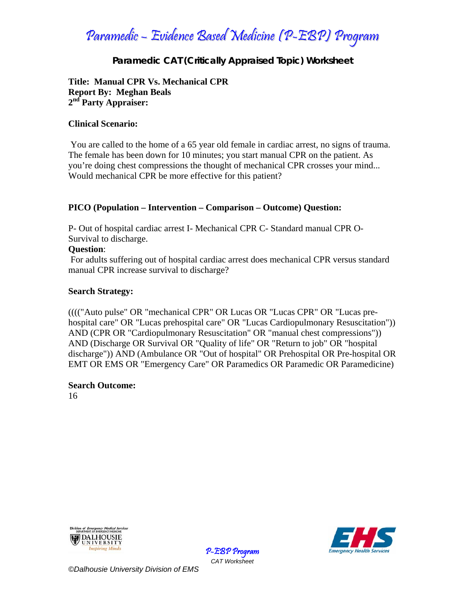### **Paramedic CAT (Critically Appraised Topic) Worksheet**

### **Title: Manual CPR Vs. Mechanical CPR Report By: Meghan Beals 2nd Party Appraiser:**

### **Clinical Scenario:**

 You are called to the home of a 65 year old female in cardiac arrest, no signs of trauma. The female has been down for 10 minutes; you start manual CPR on the patient. As you're doing chest compressions the thought of mechanical CPR crosses your mind... Would mechanical CPR be more effective for this patient?

### **PICO (Population – Intervention – Comparison – Outcome) Question:**

P- Out of hospital cardiac arrest I- Mechanical CPR C- Standard manual CPR O-Survival to discharge.

### **Question**:

 For adults suffering out of hospital cardiac arrest does mechanical CPR versus standard manual CPR increase survival to discharge?

### **Search Strategy:**

(((("Auto pulse" OR "mechanical CPR" OR Lucas OR "Lucas CPR" OR "Lucas prehospital care" OR "Lucas prehospital care" OR "Lucas Cardiopulmonary Resuscitation")) AND (CPR OR "Cardiopulmonary Resuscitation" OR "manual chest compressions")) AND (Discharge OR Survival OR "Quality of life" OR "Return to job" OR "hospital discharge")) AND (Ambulance OR "Out of hospital" OR Prehospital OR Pre-hospital OR EMT OR EMS OR "Emergency Care" OR Paramedics OR Paramedic OR Paramedicine)

> P-EBP Program *CAT Worksheet*

### **Search Outcome:**

16





*©Dalhousie University Division of EMS*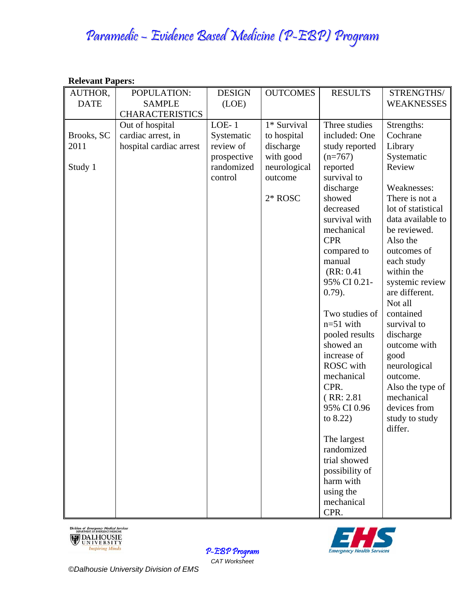| <b>Relevant Papers:</b> |                         |               |                 |                |                           |  |  |
|-------------------------|-------------------------|---------------|-----------------|----------------|---------------------------|--|--|
| AUTHOR,                 | POPULATION:             | <b>DESIGN</b> | <b>OUTCOMES</b> | <b>RESULTS</b> | STRENGTHS/                |  |  |
| <b>DATE</b>             | <b>SAMPLE</b>           | (LOE)         |                 |                | <b>WEAKNESSES</b>         |  |  |
|                         | <b>CHARACTERISTICS</b>  |               |                 |                |                           |  |  |
|                         | Out of hospital         | $LOE-1$       | 1* Survival     | Three studies  | Strengths:                |  |  |
| Brooks, SC              | cardiac arrest, in      | Systematic    | to hospital     | included: One  | Cochrane                  |  |  |
| 2011                    | hospital cardiac arrest | review of     | discharge       | study reported | Library                   |  |  |
|                         |                         | prospective   | with good       | $(n=767)$      | Systematic                |  |  |
| Study 1                 |                         | randomized    | neurological    | reported       | Review                    |  |  |
|                         |                         | control       | outcome         | survival to    |                           |  |  |
|                         |                         |               |                 | discharge      | Weaknesses:               |  |  |
|                         |                         |               | $2*$ ROSC       | showed         | There is not a            |  |  |
|                         |                         |               |                 | decreased      | lot of statistical        |  |  |
|                         |                         |               |                 | survival with  | data available to         |  |  |
|                         |                         |               |                 | mechanical     | be reviewed.              |  |  |
|                         |                         |               |                 | <b>CPR</b>     | Also the                  |  |  |
|                         |                         |               |                 | compared to    | outcomes of               |  |  |
|                         |                         |               |                 | manual         | each study                |  |  |
|                         |                         |               |                 | (RR: 0.41)     | within the                |  |  |
|                         |                         |               |                 | 95% CI 0.21-   | systemic review           |  |  |
|                         |                         |               |                 | $0.79$ ).      | are different.            |  |  |
|                         |                         |               |                 |                | Not all                   |  |  |
|                         |                         |               |                 | Two studies of | contained                 |  |  |
|                         |                         |               |                 | $n=51$ with    | survival to               |  |  |
|                         |                         |               |                 | pooled results | discharge                 |  |  |
|                         |                         |               |                 | showed an      | outcome with              |  |  |
|                         |                         |               |                 | increase of    | good                      |  |  |
|                         |                         |               |                 | ROSC with      | neurological              |  |  |
|                         |                         |               |                 | mechanical     | outcome.                  |  |  |
|                         |                         |               |                 | CPR.           | Also the type of          |  |  |
|                         |                         |               |                 | (RR: 2.81)     | mechanical                |  |  |
|                         |                         |               |                 | 95% CI 0.96    | devices from              |  |  |
|                         |                         |               |                 | to $8.22$ )    | study to study<br>differ. |  |  |
|                         |                         |               |                 | The largest    |                           |  |  |
|                         |                         |               |                 | randomized     |                           |  |  |
|                         |                         |               |                 | trial showed   |                           |  |  |
|                         |                         |               |                 | possibility of |                           |  |  |
|                         |                         |               |                 | harm with      |                           |  |  |
|                         |                         |               |                 | using the      |                           |  |  |
|                         |                         |               |                 | mechanical     |                           |  |  |
|                         |                         |               |                 | CPR.           |                           |  |  |





P-EBP Program *CAT Worksheet*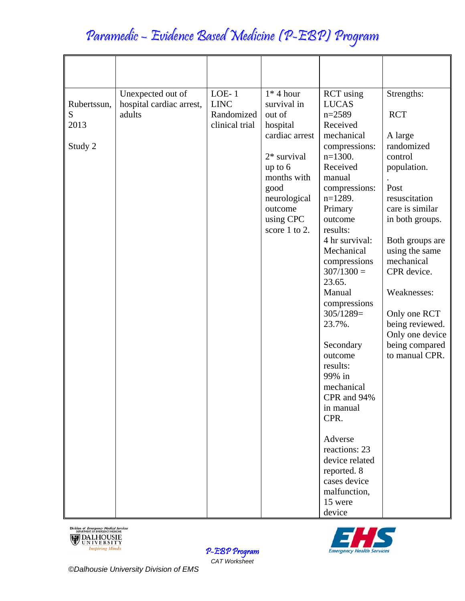| Rubertssun,<br>S<br>2013<br>Study 2 | Unexpected out of<br>hospital cardiac arrest,<br>adults | $LOE-1$<br><b>LINC</b><br>Randomized<br>clinical trial | $1*4$ hour<br>survival in<br>out of<br>hospital<br>cardiac arrest<br>$2*$ survival<br>up to $6$<br>months with<br>good<br>neurological<br>outcome<br>using CPC<br>score 1 to 2. | <b>RCT</b> using<br><b>LUCAS</b><br>$n=2589$<br>Received<br>mechanical<br>compressions:<br>$n=1300$ .<br>Received<br>manual<br>compressions:<br>$n=1289$ .<br>Primary<br>outcome<br>results:<br>4 hr survival:<br>Mechanical<br>compressions<br>$307/1300 =$<br>23.65.<br>Manual<br>compressions<br>$305/1289=$<br>23.7%.<br>Secondary<br>outcome<br>results:<br>99% in<br>mechanical<br>CPR and 94%<br>in manual<br>CPR.<br>Adverse | Strengths:<br><b>RCT</b><br>A large<br>randomized<br>control<br>population.<br>Post<br>resuscitation<br>care is similar<br>in both groups.<br>Both groups are<br>using the same<br>mechanical<br>CPR device.<br>Weaknesses:<br>Only one RCT<br>being reviewed.<br>Only one device<br>being compared<br>to manual CPR. |
|-------------------------------------|---------------------------------------------------------|--------------------------------------------------------|---------------------------------------------------------------------------------------------------------------------------------------------------------------------------------|--------------------------------------------------------------------------------------------------------------------------------------------------------------------------------------------------------------------------------------------------------------------------------------------------------------------------------------------------------------------------------------------------------------------------------------|-----------------------------------------------------------------------------------------------------------------------------------------------------------------------------------------------------------------------------------------------------------------------------------------------------------------------|
|                                     |                                                         |                                                        |                                                                                                                                                                                 | reactions: 23<br>device related<br>reported. 8<br>cases device<br>malfunction,<br>15 were<br>device                                                                                                                                                                                                                                                                                                                                  |                                                                                                                                                                                                                                                                                                                       |





P-EBP Program *CAT Worksheet*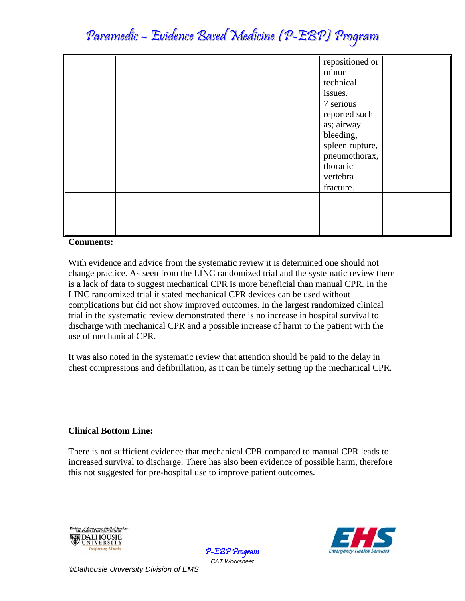|  |  | repositioned or<br>minor<br>technical<br>issues.<br>7 serious<br>reported such<br>as; airway<br>bleeding,<br>spleen rupture,<br>pneumothorax,<br>thoracic<br>vertebra<br>fracture. |  |
|--|--|------------------------------------------------------------------------------------------------------------------------------------------------------------------------------------|--|
|  |  |                                                                                                                                                                                    |  |

### **Comments:**

With evidence and advice from the systematic review it is determined one should not change practice. As seen from the LINC randomized trial and the systematic review there is a lack of data to suggest mechanical CPR is more beneficial than manual CPR. In the LINC randomized trial it stated mechanical CPR devices can be used without complications but did not show improved outcomes. In the largest randomized clinical trial in the systematic review demonstrated there is no increase in hospital survival to discharge with mechanical CPR and a possible increase of harm to the patient with the use of mechanical CPR.

It was also noted in the systematic review that attention should be paid to the delay in chest compressions and defibrillation, as it can be timely setting up the mechanical CPR.

### **Clinical Bottom Line:**

There is not sufficient evidence that mechanical CPR compared to manual CPR leads to increased survival to discharge. There has also been evidence of possible harm, therefore this not suggested for pre-hospital use to improve patient outcomes.

> P-EBP Program *CAT Worksheet*





*©Dalhousie University Division of EMS*